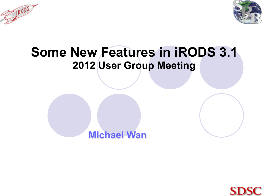



### **Some New Features in iRODS 3.1 2012 User Group Meeting**



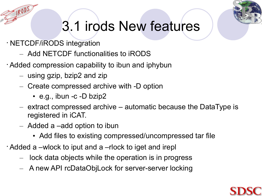

# 3.1 irods New features

- NETCDF/iRODS integration
	- Add NETCDF functionalities to iRODS
- Added compression capability to ibun and iphybun
	- using gzip, bzip2 and zip
	- Create compressed archive with -D option
		- e.g., ibun -c -D bzip2
	- extract compressed archive automatic because the DataType is registered in iCAT.
	- Added a –add option to ibun
		- Add files to existing compressed/uncompressed tar file
- Added a –wlock to iput and a –rlock to iget and irepl
	- lock data objects while the operation is in progress
	- A new API rcDataObjLock for server-server locking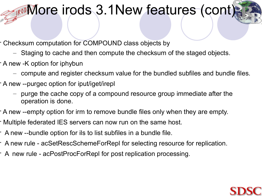## **IRODMOre irods 3.1New features (cont)**

- Checksum computation for COMPOUND class objects by
	- Staging to cache and then compute the checksum of the staged objects.
- A new -K option for iphybun
	- compute and register checksum value for the bundled subfiles and bundle files.
- A new --purgec option for iput/iget/irepl
	- purge the cache copy of a compound resource group immediate after the operation is done.
- A new --empty option for irm to remove bundle files only when they are empty.
- Multiple federated IES servers can now run on the same host.
- A new --bundle option for ils to list subfiles in a bundle file.
- A new rule acSetRescSchemeForRepl for selecting resource for replication.
- A new rule acPostProcForRepl for post replication processing.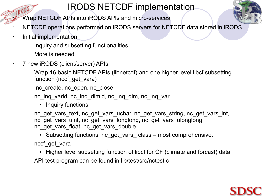#### IRODS NETCDF implementation

- Wrap NETCDF APIs into iRODS APIs and micro-services
	- NETCDF operations performed on iRODS servers for NETCDF data stored in iRODS.
- Initial implementation
	- Inquiry and subsetting functionalities
	- More is needed
	- 7 new iRODS (client/server) APIs
		- Wrap 16 basic NETCDF APIs (libnetcdf) and one higher level libcf subsetting function (nccf\_get\_vara)
		- nc create, nc open, nc close
		- nc\_inq\_varid, nc\_inq\_dimid, nc\_inq\_dim, nc\_inq\_var
			- Inquiry functions
		- nc\_get\_vars\_text, nc\_get\_vars\_uchar, nc\_get\_vars\_string, nc\_get\_vars\_int, nc\_get\_vars\_uint, nc\_get\_vars\_longlong, nc\_get\_vars\_ulonglong, nc\_get\_vars\_float, nc\_get\_vars\_double
			- Subsetting functions, nc get vars class most comprehensive.
		- nccf get vara
			- Higher level subsetting function of libcf for CF (climate and forcast) data
		- API test program can be found in lib/test/src/nctest.c

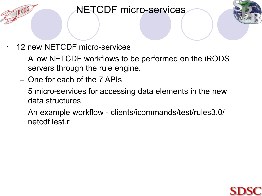#### NETCDF micro-services



- 12 new NETCDF micro-services
	- Allow NETCDF workflows to be performed on the iRODS servers through the rule engine.
	- One for each of the 7 APIs
	- 5 micro-services for accessing data elements in the new data structures
	- An example workflow clients/icommands/test/rules3.0/ netcdfTest.r

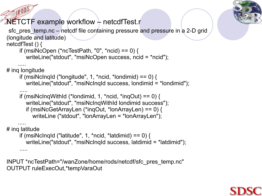

#### NETCTF example workflow – netcdfTest.r

sfc\_pres\_temp.nc – netcdf file containing pressure and pressure in a 2-D grid (longitude and latitude) netcdfTest () { if (msiNcOpen (\*ncTestPath, "0", \*ncid) ==  $0$ ) { writeLine("stdout", "msiNcOpen success, ncid = \*ncid"); ..... # ing longitude if (msiNclngld ("longitude", 1, \*ncid, \*londimid) ==  $0$ ) { writeLine("stdout", "msiNcInqId success, londimid = \*londimid");

 ..... if (msiNcInqWithId (\*londimid, 1, \*ncid, \*inqOut) ==  $0$ ) { writeLine("stdout", "msiNcInqWithId londimid success"); if (msiNcGetArrayLen (\*inqOut, \*lonArrayLen) == 0) { writeLine ("stdout", "lonArrayLen = \*lonArrayLen");

 ..... # ing latitude

if (msiNcInqId ("latitude", 1, \*ncid, \*latdimid) ==  $0$ ) { writeLine("stdout", "msiNcInqId success, latdimid = \*latdimid"); .....

INPUT \*ncTestPath="/wanZone/home/rods/netcdf/sfc\_pres\_temp.nc" OUTPUT ruleExecOut,\*tempVaraOut